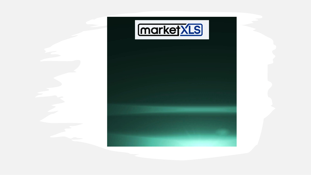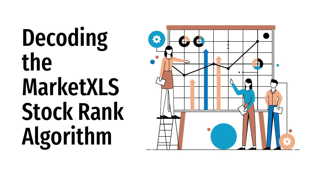# Decoding the **MarketXLS Stock Rank** Algorithm

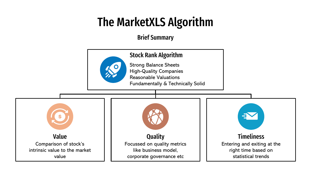## The MarketXLS Algorithm

Brief Summary

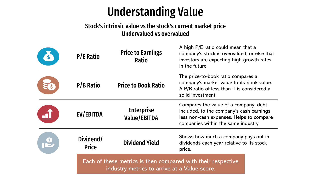### Understanding Value

### Stock's intrinsic value vs the stock's current market price Undervalued vs overvalued

| <b>P/E Ratio</b>          | <b>Price to Earnings</b><br><b>Ratio</b>                                                                     | A high P/E ratio could mean that a<br>company's stock is overvalued, or else that<br>investors are expecting high growth rates<br>in the future.                                                                                                                                                                           |  |  |  |
|---------------------------|--------------------------------------------------------------------------------------------------------------|----------------------------------------------------------------------------------------------------------------------------------------------------------------------------------------------------------------------------------------------------------------------------------------------------------------------------|--|--|--|
| <b>P/B Ratio</b>          | <b>Price to Book Ratio</b>                                                                                   | The price-to-book ratio compares a<br>company's market value to its book value.<br>A P/B ratio of less than 1 is considered a<br>solid investment.<br>Compares the value of a company, debt<br>included, to the company's cash earnings<br>less non-cash expenses. Helps to compare<br>companies within the same industry. |  |  |  |
| <b>EV/EBITDA</b>          | <b>Enterprise</b><br><b>Value/EBITDA</b>                                                                     |                                                                                                                                                                                                                                                                                                                            |  |  |  |
| Dividend/<br><b>Price</b> | <b>Dividend Yield</b>                                                                                        | Shows how much a company pays out in<br>dividends each year relative to its stock<br>price.                                                                                                                                                                                                                                |  |  |  |
|                           | Each of these metrics is then compared with their respective<br>industry metrics to arrive at a Value score. |                                                                                                                                                                                                                                                                                                                            |  |  |  |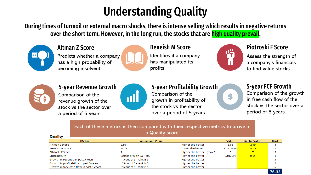# Understanding Quality

During times of turmoil or external macro shocks, there is intense selling which results in negative returns over the short term. However, in the long run, the stocks that are high quality prevail.



#### Altman Z Score

Predicts whether a company has a high probability of becoming insolvent.



#### Beneish M Score

Identifies if a company has manipulated its profits



\$

### Piotroski F Score

Assess the strength of a company's financials to find value stocks



#### 5-year Revenue Growth

Comparison of the revenue growth of the stock vs the sector over a period of 5 years.



#### 5-year Profitability Growth

Comparison of the growth in profitability of the stock vs the sector over a period of 5 years.

#### 5-year FCF Growth

Comparison of the growth in free cash flow of the stock vs the sector over a period of 5 years.

76.32

#### Each of these metrics is then compared with their respective metrics to arrive at a Quality score.

| $\alpha$ agreement seconds.<br><b>Quality</b> |                           |                             |             |                     |      |  |
|-----------------------------------------------|---------------------------|-----------------------------|-------------|---------------------|------|--|
| <b>Metric</b>                                 | <b>Comparison Value</b>   |                             | Value       | <b>Sector Value</b> | Rank |  |
| Altman Z score                                | 2.99                      | <b>Higher the better</b>    | 1.81        | 2.99                |      |  |
| <b>Beneish M Score</b>                        | $-2.22$                   | Lower the better            | $-2.429818$ | $-2.22$             |      |  |
| Pitrioski F Score                             |                           | Higher the better - (max 9) | 8           |                     |      |  |
| <b>Stock Return</b>                           | Sector or with S&P 500    | <b>Higher the better</b>    | 0.013098    | 0.05                |      |  |
| Growth in revenue in past 5 years             | if 5 out of 5 - rank is 5 | Higher the better           |             |                     |      |  |
| Growth in profitability in past 5 years       | if 5 out of 5 - rank is 5 | Higher the better           |             |                     |      |  |
| Growth in free cash flow in past 5 years      | if 5 out of 5 - rank is 5 | Higher the better           |             |                     |      |  |